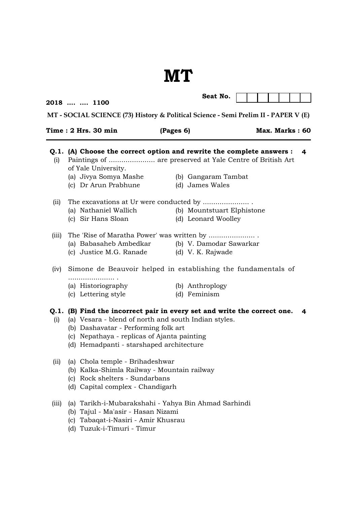# **MT**

|       | 2018   1100                                                                                                                                                                                                                                                              |                                                                                                                                                                                                            | Seat No.<br>MT - SOCIAL SCIENCE (73) History & Political Science - Semi Prelim II - PAPER V (E) |                                                   |  |                |   |
|-------|--------------------------------------------------------------------------------------------------------------------------------------------------------------------------------------------------------------------------------------------------------------------------|------------------------------------------------------------------------------------------------------------------------------------------------------------------------------------------------------------|-------------------------------------------------------------------------------------------------|---------------------------------------------------|--|----------------|---|
|       |                                                                                                                                                                                                                                                                          | Time: 2 Hrs. 30 min                                                                                                                                                                                        | (Pages 6)                                                                                       |                                                   |  | Max. Marks: 60 |   |
| (i)   |                                                                                                                                                                                                                                                                          | Q.1. (A) Choose the correct option and rewrite the complete answers :<br>Paintings of  are preserved at Yale Centre of British Art<br>of Yale University.<br>(a) Jivya Somya Mashe<br>(c) Dr Arun Prabhune |                                                                                                 | (b) Gangaram Tambat<br>(d) James Wales            |  |                | 4 |
| (ii)  |                                                                                                                                                                                                                                                                          | The excavations at Ur were conducted by<br>(a) Nathaniel Wallich<br>(c) Sir Hans Sloan                                                                                                                     |                                                                                                 | (b) Mountstuart Elphistone<br>(d) Leonard Woolley |  |                |   |
| (iii) |                                                                                                                                                                                                                                                                          | (a) Babasaheb Ambedkar (b) V. Damodar Sawarkar<br>(c) Justice M.G. Ranade                                                                                                                                  |                                                                                                 | (d) V. K. Rajwade                                 |  |                |   |
| (iv)  |                                                                                                                                                                                                                                                                          | Simone de Beauvoir helped in establishing the fundamentals of<br>.<br>(a) Historiography<br>(c) Lettering style                                                                                            |                                                                                                 | (b) Anthroplogy<br>(d) Feminism                   |  |                |   |
| (i)   | Q.1. (B) Find the incorrect pair in every set and write the correct one.<br>4<br>(a) Vesara - blend of north and south Indian styles.<br>(b) Dashavatar - Performing folk art<br>(c) Nepathaya - replicas of Ajanta painting<br>(d) Hemadpanti - starshaped architecture |                                                                                                                                                                                                            |                                                                                                 |                                                   |  |                |   |
| (ii)  | (a) Chola temple - Brihadeshwar<br>(b) Kalka-Shimla Railway - Mountain railway<br>(c) Rock shelters - Sundarbans<br>(d) Capital complex - Chandigarh                                                                                                                     |                                                                                                                                                                                                            |                                                                                                 |                                                   |  |                |   |
| (iii) |                                                                                                                                                                                                                                                                          | (a) Tarikh-i-Mubarakshahi - Yahya Bin Ahmad Sarhindi<br>(b) Tajul - Ma'asir - Hasan Nizami<br>(c) Tabaqat-i-Nasiri - Amir Khusrau<br>(d) Tuzuk-i-Timuri - Timur                                            |                                                                                                 |                                                   |  |                |   |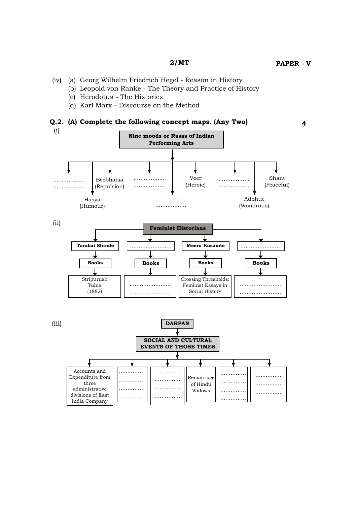#### **2/MT**

- (iv) (a) Georg Wilhelm Friedrich Hegel Reason in History
	- (b) Leopold von Ranke The Theory and Practice of History
	- (c) Herodotus The Histories
	- (d) Karl Marx Discourse on the Method

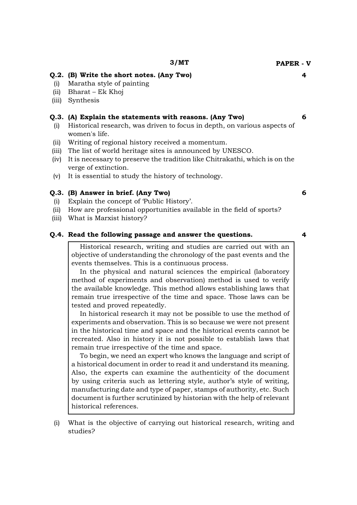**4**

**6**

**3/MT**

#### **Q.2. (B) Write the short notes. (Any Two)**

- (i) Maratha style of painting
- (ii) Bharat Ek Khoj
- (iii) Synthesis

#### **Q.3. (A) Explain the statements with reasons. (Any Two)**

- (i) Historical research, was driven to focus in depth, on various aspects of women's life.
- (ii) Writing of regional history received a momentum.
- (iii) The list of world heritage sites is announced by UNESCO.
- (iv) It is necessary to preserve the tradition like Chitrakathi, which is on the verge of extinction.
- (v) It is essential to study the history of technology.

## **Q.3. (B) Answer in brief. (Any Two)**

- (i) Explain the concept of 'Public History'.
- (ii) How are professional opportunities available in the field of sports?
- (iii) What is Marxist history?

## **Q.4. Read the following passage and answer the questions.**

Historical research, writing and studies are carried out with an objective of understanding the chronology of the past events and the events themselves. This is a continuous process.

In the physical and natural sciences the empirical (laboratory method of experiments and observation) method is used to verify the available knowledge. This method allows establishing laws that remain true irrespective of the time and space. Those laws can be tested and proved repeatedly.

In historical research it may not be possible to use the method of experiments and observation. This is so because we were not present in the historical time and space and the historical events cannot be recreated. Also in history it is not possible to establish laws that remain true irrespective of the time and space.

To begin, we need an expert who knows the language and script of a historical document in order to read it and understand its meaning. Also, the experts can examine the authenticity of the document by using criteria such as lettering style, author's style of writing, manufacturing date and type of paper, stamps of authority, etc. Such document is further scrutinized by historian with the help of relevant historical references.

(i) What is the objective of carrying out historical research, writing and studies?

**6**

**4**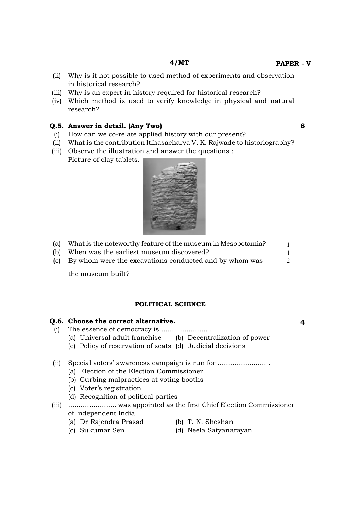#### **4/MT**

- (ii) Why is it not possible to used method of experiments and observation in historical research?
- (iii) Why is an expert in history required for historical research?
- (iv) Which method is used to verify knowledge in physical and natural research?

#### **Q.5. Answer in detail. (Any Two)**

- (i) How can we co-relate applied history with our present?
- (ii) What is the contribution Itihasacharya V. K. Rajwade to historiography?
- (iii) Observe the illustration and answer the questions : Picture of clay tablets.

- (a) What is the noteworthy feature of the museum in Mesopotamia?
- (b) When was the earliest museum discovered?
- (c) By whom were the excavations conducted and by whom was

 the museum built?

#### **POLITICAL SCIENCE**

## **Q.6. Choose the correct alternative.** (i) The essence of democracy is ...................... . (a) Universal adult franchise (b) Decentralization of power (c) Policy of reservation of seats (d) Judicial decisions (ii) Special voters' awareness campaign is run for ............................. (a) Election of the Election Commissioner (b) Curbing malpractices at voting booths (c) Voter's registration (d) Recognition of political parties (iii) ....................... was appointed as the first Chief Election Commissioner of Independent India. (a) Dr Rajendra Prasad (b) T. N. Sheshan (c) Sukumar Sen (d) Neela Satyanarayan **4**



- 
- **Paper V**

**8**

1 1

 $\mathcal{L}$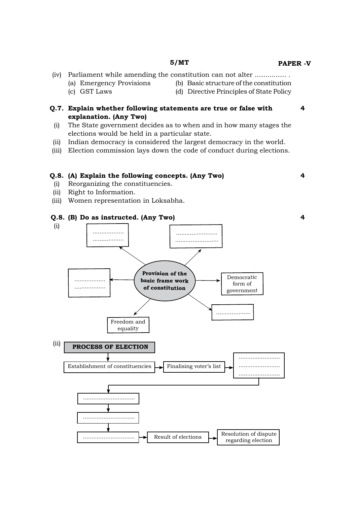#### **5/MT**

- (iv) Parliament while amending the constitution can not alter ................ (a) Emergency Provisions (b) Basic structure of the constitution (c) GST Laws (d) Directive Principles of State Policy
- **Q.7. Explain whether following statements are true or false with explanation. (Any Two)**
- (i) The State government decides as to when and in how many stages the elections would be held in a particular state.
- (ii) Indian democracy is considered the largest democracy in the world.
- (iii) Election commission lays down the code of conduct during elections.

#### **Q.8. (A) Explain the following concepts. (Any Two)**

- (i) Reorganizing the constituencies.
- (ii) Right to Information.
- (iii) Women representation in Loksabha.

## **Q.8. (B) Do as instructed. (Any Two)**

(i) (ii) **PROCESS OF ELECTION** Establishment of constituencies  $\Box$  Finalising voter's list ........................ ........................ ........................ .............................. .............................. Result of elections Resolution of dispute regarding election **Provision of the basic frame work of constitution** .................. .................. ........................ ......................... .................. .................. Freedom and equality .................... Democratic form of government

**4**

**4**

**4**